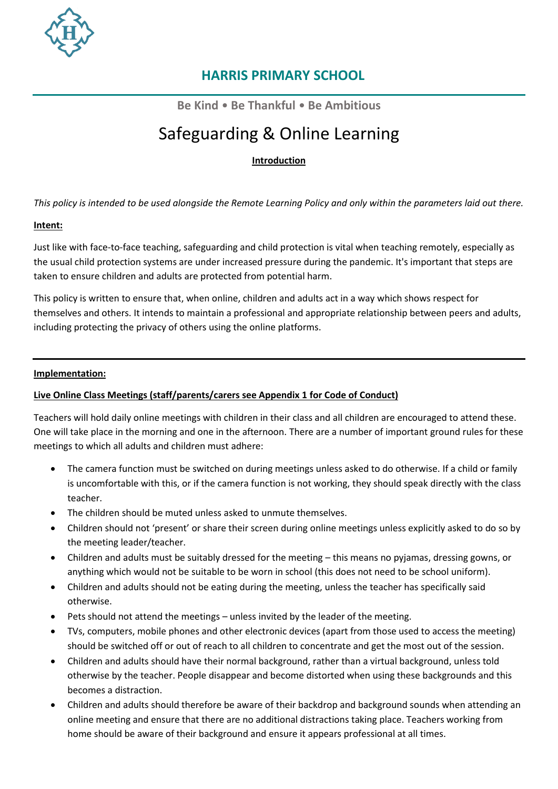

**Be Kind** • **Be Thankful** • **Be Ambitious**

# Safeguarding & Online Learning

**Introduction**

*This policy is intended to be used alongside the Remote Learning Policy and only within the parameters laid out there.*

#### **Intent:**

Just like with face-to-face teaching, safeguarding and child protection is vital when teaching remotely, especially as the usual child protection systems are under increased pressure during the pandemic. It's important that steps are taken to ensure children and adults are protected from potential harm.

This policy is written to ensure that, when online, children and adults act in a way which shows respect for themselves and others. It intends to maintain a professional and appropriate relationship between peers and adults, including protecting the privacy of others using the online platforms.

#### **Implementation:**

#### **Live Online Class Meetings (staff/parents/carers see Appendix 1 for Code of Conduct)**

Teachers will hold daily online meetings with children in their class and all children are encouraged to attend these. One will take place in the morning and one in the afternoon. There are a number of important ground rules for these meetings to which all adults and children must adhere:

- The camera function must be switched on during meetings unless asked to do otherwise. If a child or family is uncomfortable with this, or if the camera function is not working, they should speak directly with the class teacher.
- The children should be muted unless asked to unmute themselves.
- Children should not 'present' or share their screen during online meetings unless explicitly asked to do so by the meeting leader/teacher.
- Children and adults must be suitably dressed for the meeting this means no pyjamas, dressing gowns, or anything which would not be suitable to be worn in school (this does not need to be school uniform).
- Children and adults should not be eating during the meeting, unless the teacher has specifically said otherwise.
- Pets should not attend the meetings unless invited by the leader of the meeting.
- TVs, computers, mobile phones and other electronic devices (apart from those used to access the meeting) should be switched off or out of reach to all children to concentrate and get the most out of the session.
- Children and adults should have their normal background, rather than a virtual background, unless told otherwise by the teacher. People disappear and become distorted when using these backgrounds and this becomes a distraction.
- Children and adults should therefore be aware of their backdrop and background sounds when attending an online meeting and ensure that there are no additional distractions taking place. Teachers working from home should be aware of their background and ensure it appears professional at all times.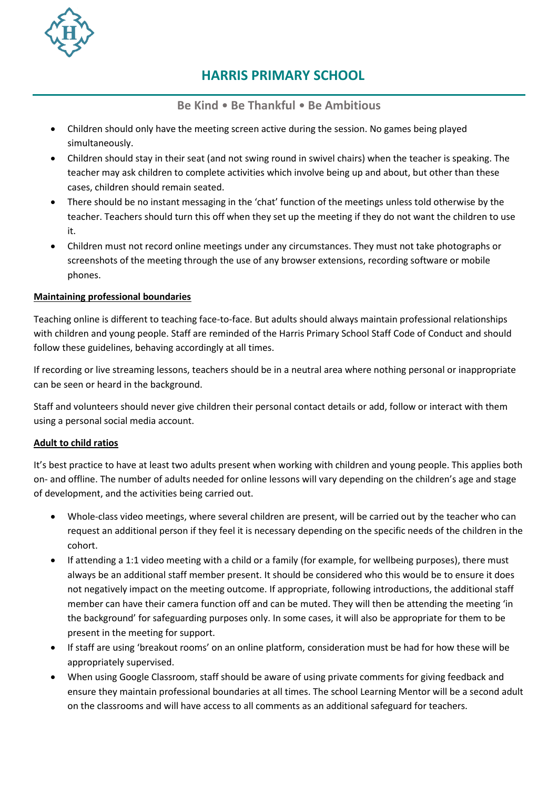

**Be Kind** • **Be Thankful** • **Be Ambitious**

- Children should only have the meeting screen active during the session. No games being played simultaneously.
- Children should stay in their seat (and not swing round in swivel chairs) when the teacher is speaking. The teacher may ask children to complete activities which involve being up and about, but other than these cases, children should remain seated.
- There should be no instant messaging in the 'chat' function of the meetings unless told otherwise by the teacher. Teachers should turn this off when they set up the meeting if they do not want the children to use it.
- Children must not record online meetings under any circumstances. They must not take photographs or screenshots of the meeting through the use of any browser extensions, recording software or mobile phones.

#### **Maintaining professional boundaries**

Teaching online is different to teaching face-to-face. But adults should always maintain professional relationships with children and young people. Staff are reminded of the Harris Primary School Staff Code of Conduct and should follow these guidelines, behaving accordingly at all times.

If recording or live streaming lessons, teachers should be in a neutral area where nothing personal or inappropriate can be seen or heard in the background.

Staff and volunteers should never give children their personal contact details or add, follow or interact with them using a personal social media account.

#### **Adult to child ratios**

It's best practice to have at least two adults present when working with children and young people. This applies both on- and offline. The number of adults needed for online lessons will vary depending on the children's age and stage of development, and the activities being carried out.

- Whole-class video meetings, where several children are present, will be carried out by the teacher who can request an additional person if they feel it is necessary depending on the specific needs of the children in the cohort.
- If attending a 1:1 video meeting with a child or a family (for example, for wellbeing purposes), there must always be an additional staff member present. It should be considered who this would be to ensure it does not negatively impact on the meeting outcome. If appropriate, following introductions, the additional staff member can have their camera function off and can be muted. They will then be attending the meeting 'in the background' for safeguarding purposes only. In some cases, it will also be appropriate for them to be present in the meeting for support.
- If staff are using 'breakout rooms' on an online platform, consideration must be had for how these will be appropriately supervised.
- When using Google Classroom, staff should be aware of using private comments for giving feedback and ensure they maintain professional boundaries at all times. The school Learning Mentor will be a second adult on the classrooms and will have access to all comments as an additional safeguard for teachers.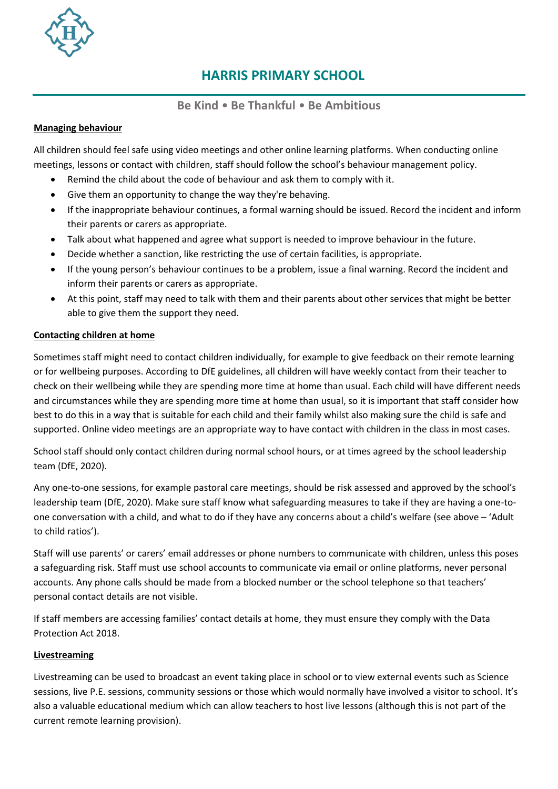

#### **Be Kind** • **Be Thankful** • **Be Ambitious**

#### **Managing behaviour**

All children should feel safe using video meetings and other online learning platforms. When conducting online meetings, lessons or contact with children, staff should follow the school's behaviour management policy.

- Remind the child about the code of behaviour and ask them to comply with it.
- Give them an opportunity to change the way they're behaving.
- If the inappropriate behaviour continues, a formal warning should be issued. Record the incident and inform their parents or carers as appropriate.
- Talk about what happened and agree what support is needed to improve behaviour in the future.
- Decide whether a sanction, like restricting the use of certain facilities, is appropriate.
- If the young person's behaviour continues to be a problem, issue a final warning. Record the incident and inform their parents or carers as appropriate.
- At this point, staff may need to talk with them and their parents about other services that might be better able to give them the support they need.

#### **Contacting children at home**

Sometimes staff might need to contact children individually, for example to give feedback on their remote learning or for wellbeing purposes. According to DfE guidelines, all children will have weekly contact from their teacher to check on their wellbeing while they are spending more time at home than usual. Each child will have different needs and circumstances while they are spending more time at home than usual, so it is important that staff consider how best to do this in a way that is suitable for each child and their family whilst also making sure the child is safe and supported. Online video meetings are an appropriate way to have contact with children in the class in most cases.

School staff should only contact children during normal school hours, or at times agreed by the school leadership team (DfE, 2020).

Any one-to-one sessions, for example pastoral care meetings, should be risk assessed and approved by the school's leadership team (DfE, 2020). Make sure staff know what safeguarding measures to take if they are having a one-toone conversation with a child, and what to do if they have any concerns about a child's welfare (see above – 'Adult to child ratios').

Staff will use parents' or carers' email addresses or phone numbers to communicate with children, unless this poses a safeguarding risk. Staff must use school accounts to communicate via email or online platforms, never personal accounts. Any phone calls should be made from a blocked number or the school telephone so that teachers' personal contact details are not visible.

If staff members are accessing families' contact details at home, they must ensure they comply with the [Data](https://www.legislation.gov.uk/ukpga/2018/12/contents/enacted)  [Protection Act 2018.](https://www.legislation.gov.uk/ukpga/2018/12/contents/enacted)

#### **Livestreaming**

Livestreaming can be used to broadcast an event taking place in school or to view external events such as Science sessions, live P.E. sessions, community sessions or those which would normally have involved a visitor to school. It's also a valuable educational medium which can allow teachers to host live lessons (although this is not part of the current remote learning provision).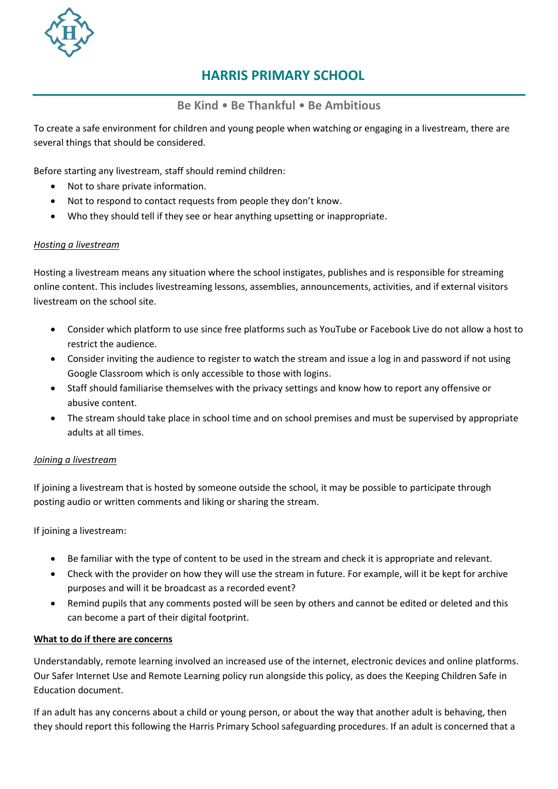

#### **Be Kind** • **Be Thankful** • **Be Ambitious**

To create a safe environment for children and young people when watching or engaging in a livestream, there are several things that should be considered.

Before starting any livestream, staff should remind children:

- Not to share private information.
- Not to respond to contact requests from people they don't know.
- Who they should tell if they see or hear anything upsetting or inappropriate.

#### *Hosting a livestream*

Hosting a livestream means any situation where the school instigates, publishes and is responsible for streaming online content. This includes livestreaming lessons, assemblies, announcements, activities, and if external visitors livestream on the school site.

- Consider which platform to use since free platforms such as YouTube or Facebook Live do not allow a host to restrict the audience.
- Consider inviting the audience to register to watch the stream and issue a log in and password if not using Google Classroom which is only accessible to those with logins.
- Staff should familiarise themselves with the privacy settings and know how to report any offensive or abusive content.
- The stream should take place in school time and on school premises and must be supervised by appropriate adults at all times.

#### *Joining a livestream*

If joining a livestream that is hosted by someone outside the school, it may be possible to participate through posting audio or written comments and liking or sharing the stream.

If joining a livestream:

- Be familiar with the type of content to be used in the stream and check it is appropriate and relevant.
- Check with the provider on how they will use the stream in future. For example, will it be kept for archive purposes and will it be broadcast as a recorded event?
- Remind pupils that any comments posted will be seen by others and cannot be edited or deleted and this can become a part of their digital footprint.

#### **What to do if there are concerns**

Understandably, remote learning involved an increased use of the internet, electronic devices and online platforms. Our Safer Internet Use and Remote Learning policy run alongside this policy, as does the Keeping Children Safe in Education document.

If an adult has any concerns about a child or young person, or about the way that another adult is behaving, then they should report this following the Harris Primary School [safeguarding procedures.](https://learning.nspcc.org.uk/safeguarding-child-protection/writing-a-safeguarding-policy-statement/) If an adult is concerned that a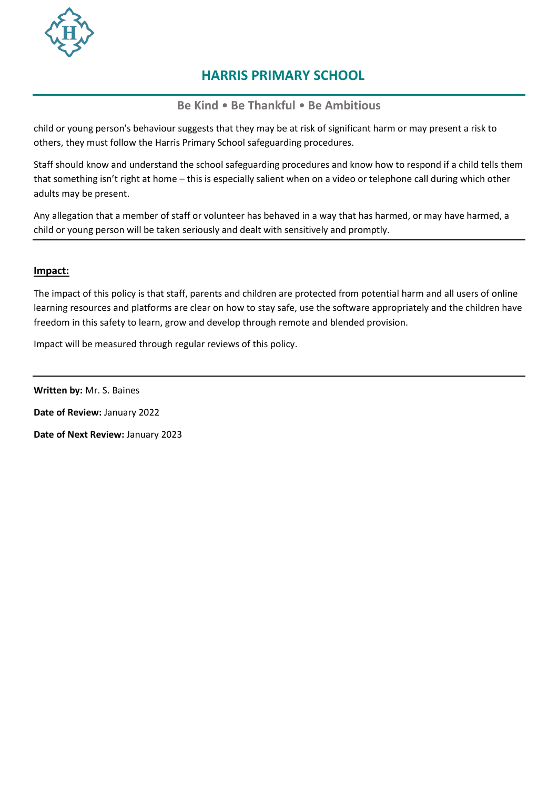

**Be Kind** • **Be Thankful** • **Be Ambitious**

child or young person's behaviour suggests that they may be at risk of significant harm or may present a risk to others, they must follow the Harris Primary School safeguarding procedures.

Staff should know and understand the school safeguarding procedures and know how to respond if a child tells them that something isn't right at home – this is especially salient when on a video or telephone call during which other adults may be present.

Any allegation that a member of staff or volunteer has behaved in a way that has harmed, or may have harmed, a child or young person will be taken seriously and dealt with sensitively and promptly.

#### **Impact:**

The impact of this policy is that staff, parents and children are protected from potential harm and all users of online learning resources and platforms are clear on how to stay safe, use the software appropriately and the children have freedom in this safety to learn, grow and develop through remote and blended provision.

Impact will be measured through regular reviews of this policy.

**Written by:** Mr. S. Baines

**Date of Review:** January 2022

**Date of Next Review:** January 2023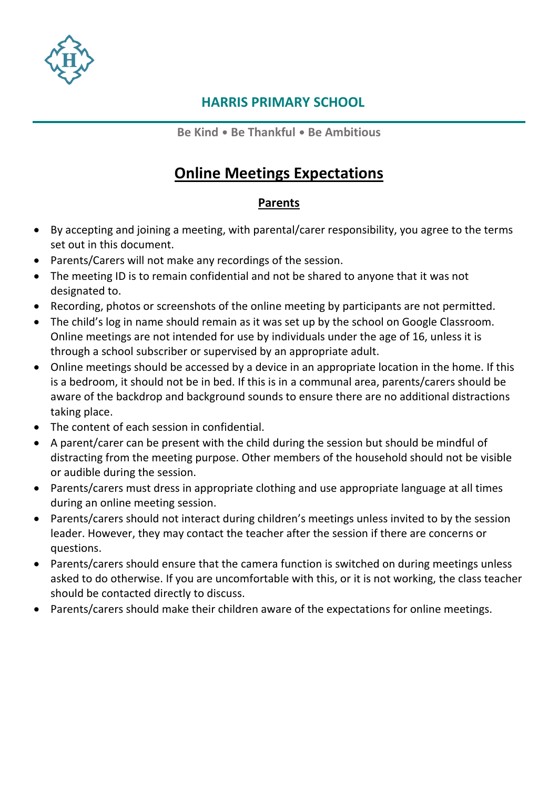

**Be Kind** • **Be Thankful** • **Be Ambitious**

## **Online Meetings Expectations**

### **Parents**

- By accepting and joining a meeting, with parental/carer responsibility, you agree to the terms set out in this document.
- Parents/Carers will not make any recordings of the session.
- The meeting ID is to remain confidential and not be shared to anyone that it was not designated to.
- Recording, photos or screenshots of the online meeting by participants are not permitted.
- The child's log in name should remain as it was set up by the school on Google Classroom. Online meetings are not intended for use by individuals under the age of 16, unless it is through a school subscriber or supervised by an appropriate adult.
- Online meetings should be accessed by a device in an appropriate location in the home. If this is a bedroom, it should not be in bed. If this is in a communal area, parents/carers should be aware of the backdrop and background sounds to ensure there are no additional distractions taking place.
- The content of each session in confidential.
- A parent/carer can be present with the child during the session but should be mindful of distracting from the meeting purpose. Other members of the household should not be visible or audible during the session.
- Parents/carers must dress in appropriate clothing and use appropriate language at all times during an online meeting session.
- Parents/carers should not interact during children's meetings unless invited to by the session leader. However, they may contact the teacher after the session if there are concerns or questions.
- Parents/carers should ensure that the camera function is switched on during meetings unless asked to do otherwise. If you are uncomfortable with this, or it is not working, the class teacher should be contacted directly to discuss.
- Parents/carers should make their children aware of the expectations for online meetings.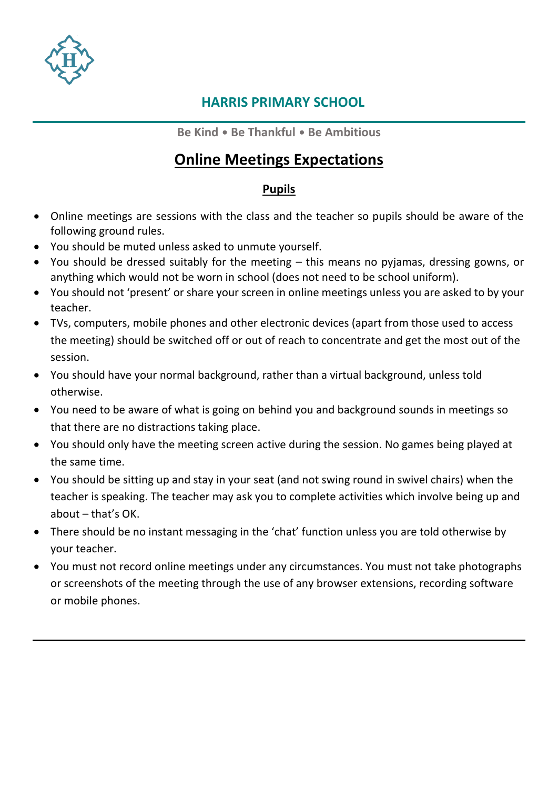

**Be Kind** • **Be Thankful** • **Be Ambitious**

## **Online Meetings Expectations**

### **Pupils**

- Online meetings are sessions with the class and the teacher so pupils should be aware of the following ground rules.
- You should be muted unless asked to unmute yourself.
- You should be dressed suitably for the meeting this means no pyjamas, dressing gowns, or anything which would not be worn in school (does not need to be school uniform).
- You should not 'present' or share your screen in online meetings unless you are asked to by your teacher.
- TVs, computers, mobile phones and other electronic devices (apart from those used to access the meeting) should be switched off or out of reach to concentrate and get the most out of the session.
- You should have your normal background, rather than a virtual background, unless told otherwise.
- You need to be aware of what is going on behind you and background sounds in meetings so that there are no distractions taking place.
- You should only have the meeting screen active during the session. No games being played at the same time.
- You should be sitting up and stay in your seat (and not swing round in swivel chairs) when the teacher is speaking. The teacher may ask you to complete activities which involve being up and about – that's OK.
- There should be no instant messaging in the 'chat' function unless you are told otherwise by your teacher.
- You must not record online meetings under any circumstances. You must not take photographs or screenshots of the meeting through the use of any browser extensions, recording software or mobile phones.